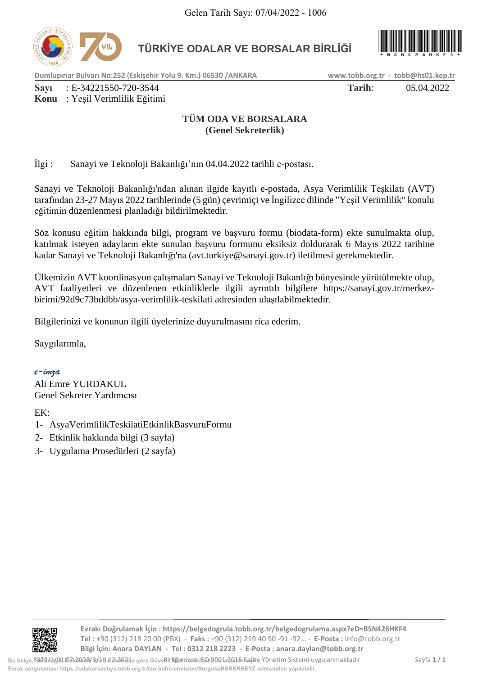

**TÜRKİYE ODALAR VE BORSALAR BİRLİĞİ** 



**Dumlupınar Bulvarı No:252 (Eskişehir Yolu 9. Km.) 06530 /ANKARA www.tobb.org.tr - tobb@hs01.kep.tr**

**Sayı** : E-34221550-720-3544 **Tarih**: 05.04.2022

# **Konu** : Yeşil Verimlilik Eğitimi

# **TÜM ODA VE BORSALARA (Genel Sekreterlik)**

İlgi : Sanayi ve Teknoloji Bakanlığı'nın 04.04.2022 tarihli e-postası.

Sanayi ve Teknoloji Bakanlığı'ndan alınan ilgide kayıtlı e-postada, Asya Verimlilik Teşkilatı (AVT) tarafından 23-27 Mayıs 2022 tarihlerinde (5 gün) çevrimiçi ve İngilizce dilinde "Yeşil Verimlilik" konulu eğitimin düzenlenmesi planladığı bildirilmektedir. Felen Tarih Sayı: 07/04/2022 - 1006<br> **Evropiyan: Felen Sorgular Sorgular Sorgular Sorgular Sorgular Sorgular Sorgular Sorgular Sorgular Sorgular Sorgular Sorgular Sorgular Sorgular Sorgular Sorgular Sorgular Sorgular Sorgu** 

Söz konusu eğitim hakkında bilgi, program ve başvuru formu (biodata-form) ekte sunulmakta olup, katılmak isteyen adayların ekte sunulan başvuru formunu eksiksiz doldurarak 6 Mayıs 2022 tarihine kadar Sanayi ve Teknoloji Bakanlığı'na (avt.turkiye@sanayi.gov.tr) iletilmesi gerekmektedir.

Ülkemizin AVT koordinasyon çalışmaları Sanayi ve Teknoloji Bakanlığı bünyesinde yürütülmekte olup, AVT faaliyetleri ve düzenlenen etkinliklerle ilgili ayrıntılı bilgilere https://sanayi.gov.tr/merkezbirimi/92d9c73bddbb/asya-verimlilik-teskilati adresinden ulaşılabilmektedir.

Bilgilerinizi ve konunun ilgili üyelerinize duyurulmasını rica ederim.

Saygılarımla,

*e-imza* Ali Emre YURDAKUL

Genel Sekreter Yardımcısı

EK:

- 1- AsyaVerimlilikTeskilatiEtkinlikBasvuruFormu
- 2- Etkinlik hakkında bilgi (3 sayfa)
- 3- Uygulama Prosedürleri (2 sayfa)



**Evrakı Doğrulamak İçin : https://belgedogrula.tobb.org.tr/belgedogrulama.aspx?eD=BSN426HKF4 Tel :** +90 (312) 218 20 00 (PBX) - **Faks :** +90 (312) 219 40 90 -91 -92… - **E-Posta :** info@tobb.org.tr **Bilgi İçin: Anara DAYLAN - Tel : 0312 218 2223 - E-Posta : anara.daylan@tobb.org.tr**

Bu belge, 5022/5/01 B7L2003/3/11 Birliğimi dan Birliğimizde ISQ 9091n2015 Kalite Yönetim Sistemi uygulanmaktadır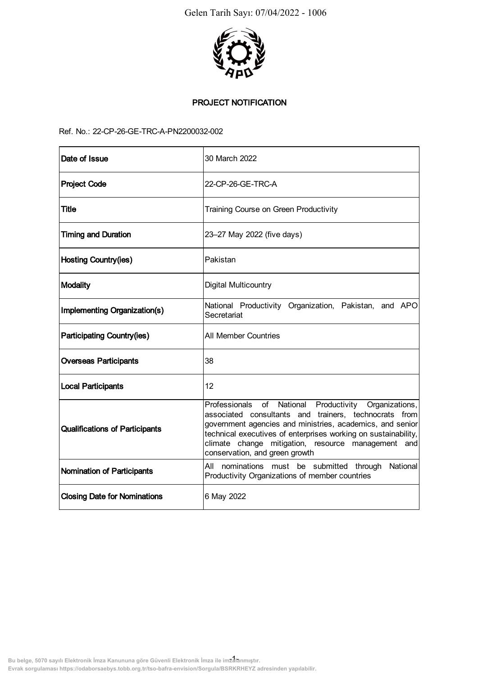

# PROJECT NOTIFICATION

## Ref. No.: 22-CP-26-GE-TRC-A-PN2200032-002

| Ref. No.: 22-CP-26-GE-TRC-A-PN2200032-002 |                                                                                                                                                                                                                                                                                                                                                |
|-------------------------------------------|------------------------------------------------------------------------------------------------------------------------------------------------------------------------------------------------------------------------------------------------------------------------------------------------------------------------------------------------|
| Date of Issue                             | 30 March 2022                                                                                                                                                                                                                                                                                                                                  |
| <b>Project Code</b>                       | 22-CP-26-GE-TRC-A                                                                                                                                                                                                                                                                                                                              |
| <b>Title</b>                              | Training Course on Green Productivity                                                                                                                                                                                                                                                                                                          |
| <b>Timing and Duration</b>                | 23-27 May 2022 (five days)                                                                                                                                                                                                                                                                                                                     |
| <b>Hosting Country(ies)</b>               | Pakistan                                                                                                                                                                                                                                                                                                                                       |
| Modality                                  | Digital Multicountry                                                                                                                                                                                                                                                                                                                           |
| Implementing Organization(s)              | National Productivity Organization, Pakistan, and APO<br>Secretariat                                                                                                                                                                                                                                                                           |
| <b>Participating Country(ies)</b>         | <b>All Member Countries</b>                                                                                                                                                                                                                                                                                                                    |
| <b>Overseas Participants</b>              | 38                                                                                                                                                                                                                                                                                                                                             |
| <b>Local Participants</b>                 | 12                                                                                                                                                                                                                                                                                                                                             |
| <b>Qualifications of Participants</b>     | National<br>Professionals<br>of<br>Productivity Organizations,<br>associated consultants and trainers, technocrats from<br>government agencies and ministries, academics, and senior<br>technical executives of enterprises working on sustainability,<br>climate change mitigation, resource management and<br>conservation, and green growth |
| Nomination of Participants                | All nominations must be submitted through<br>Productivity Organizations of member countries                                                                                                                                                                                                                                                    |
| <b>Closing Date for Nominations</b>       | 6 May 2022                                                                                                                                                                                                                                                                                                                                     |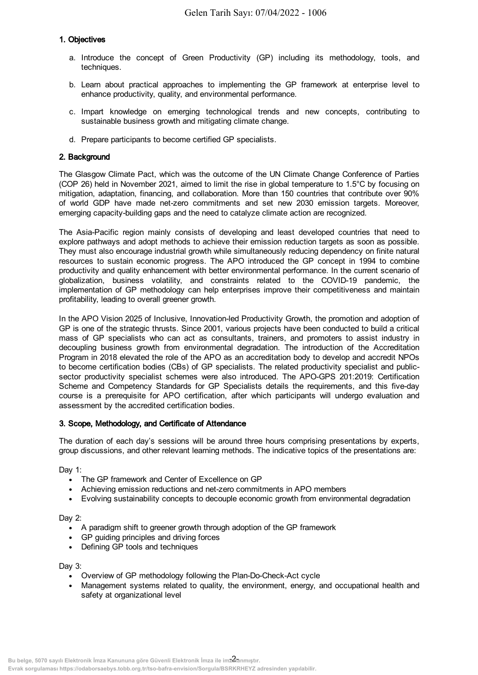# 1. Objectives

- a. Introduce the concept of Green Productivity (GP) including its methodology, tools, and techniques.
- b. Learn about practical approaches to implementing the GP framework at enterprise level to enhance productivity, quality, and environmental performance.
- c. Impart knowledge on emerging technological trends and new concepts, contributing to sustainable business growth and mitigating climate change.
- d. Prepare participants to become certified GP specialists.

# 2. Background

The Glasgow Climate Pact, which was the outcome of the UN Climate Change Conference of Parties (COP 26) held in November 2021, aimed to limit the rise in global temperature to 1.5°C by focusing on mitigation, adaptation, financing, and collaboration. More than 150 countries that contribute over 90% of world GDP have made net-zero commitments and set new 2030 emission targets. Moreover, emerging capacity-building gaps and the need to catalyze climate action are recognized.

The Asia-Pacific region mainly consists of developing and least developed countries that need to explore pathways and adopt methods to achieve their emission reduction targets as soon as possible. They must also encourage industrial growth while simultaneously reducing dependency on finite natural resources to sustain economic progress. The APO introduced the GP concept in 1994 to combine productivity and quality enhancement with better environmental performance. In the current scenario of globalization, business volatility, and constraints related to the COVID-19 pandemic, the implementation of GP methodology can help enterprises improve their competitiveness and maintain profitability, leading to overall greener growth.

In the APO Vision 2025 of Inclusive, Innovation-led Productivity Growth, the promotion and adoption of GP is one of the strategic thrusts. Since 2001, various projects have been conducted to build a critical mass of GP specialists who can act as consultants, trainers, and promoters to assist industry in decoupling business growth from environmental degradation. The introduction of the Accreditation Program in 2018 elevated the role of the APO as an accreditation body to develop and accredit NPOs to become certification bodies (CBs) of GP specialists. The related productivity specialist and publicsector productivity specialist schemes were also introduced. The APO-GPS 201:2019: Certification Scheme and Competency Standards for GP Specialists details the requirements, and this five-day course is a prerequisite for APO certification, after which participants will undergo evaluation and assessment by the accredited certification bodies. **Evropia is about the control of the minimizary:** CRO4 2022 - 1006<br>
a introduce the concept of Green Productivity (GP) including its<br>
busines are producted approaches to inspermenting the correlation<br>
c. Impart knowledge o

## 3. Scope, Methodology, and Certificate of Attendance

The duration of each day's sessions will be around three hours comprising presentations by experts, group discussions, and other relevant learning methods. The indicative topics of the presentations are:

Dav 1:

- The GP framework and Center of Excellence on GP
- Achieving emission reductions and net-zero commitments in APO members
- Evolving sustainability concepts to decouple economic growth from environmental degradation

## Day 2:

- A paradigm shift to greener growth through adoption of the GP framework
- GP guiding principles and driving forces
- Defining GP tools and techniques

Day 3:

- Overview of GP methodology following the Plan-Do-Check-Act cycle
- Management systems related to quality, the environment, energy, and occupational health and safety at organizational level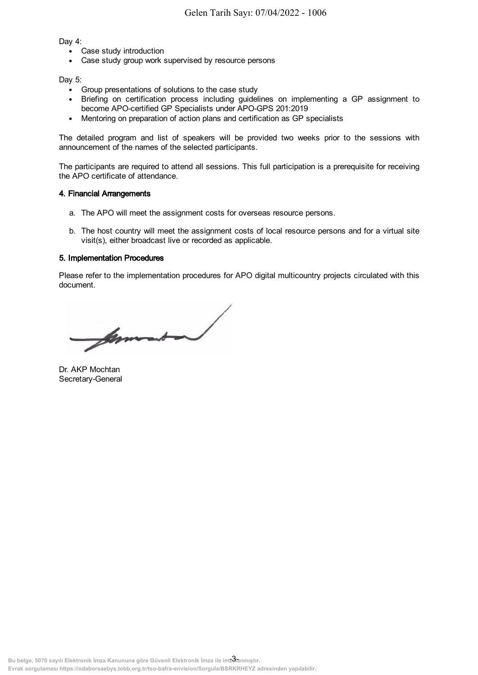Dav 4:

- Case study introduction
- Case study group work supervised by resource persons

Day 5:

- Group presentations of solutions to the case study
- Briefing on certification process including guidelines on implementing a GP assignment to become APO-certified GP Specialists under APO-GPS 201:2019
- Mentoring on preparation of action plans and certification as GP specialists

The detailed program and list of speakers will be provided two weeks prior to the sessions with announcement of the names of the selected participants.

The participants are required to attend all sessions. This full participation is a prerequisite for receiving the APO certificate of attendance.

#### 4. Financial Arrangements

- a. The APO will meet the assignment costs for overseas resource persons.
- b. The host country will meet the assignment costs of local resource persons and for a virtual site visit(s), either broadcast live or recorded as applicable.

## 5. Implementation Procedures

Please refer to the implementation procedures for APO digital multicountry projects circulated with this document.

Evra sorgen interesting the matrix of the sorgen of solutions of solutions of solutions of solutions for solutions of solutions of solutions of solutions of solutions of solutions of solutions of solutions of solutions of

Dr. AKP Mochtan Secretary-General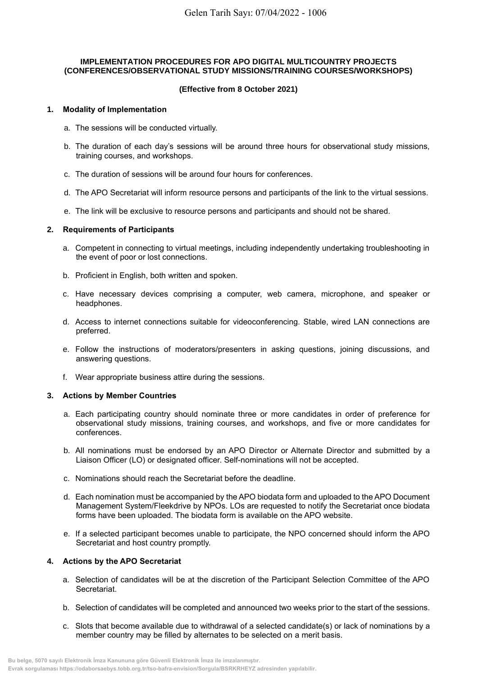### **IMPLEMENTATION PROCEDURES FOR APO DIGITAL MULTICOUNTRY PROJECTS (CONFERENCES/OBSERVATIONAL STUDY MISSIONS/TRAINING COURSES/WORKSHOPS)**

## **(Effective from 8 October 2021)**

### **1. Modality of Implementation**

- a. The sessions will be conducted virtually.
- b. The duration of each day's sessions will be around three hours for observational study missions, training courses, and workshops.
- c. The duration of sessions will be around four hours for conferences.
- d. The APO Secretariat will inform resource persons and participants of the link to the virtual sessions.
- e. The link will be exclusive to resource persons and participants and should not be shared.

## **2. Requirements of Participants**

- a. Competent in connecting to virtual meetings, including independently undertaking troubleshooting in the event of poor or lost connections.
- b. Proficient in English, both written and spoken.
- c. Have necessary devices comprising a computer, web camera, microphone, and speaker or headphones.
- d. Access to internet connections suitable for videoconferencing. Stable, wired LAN connections are preferred.
- e. Follow the instructions of moderators/presenters in asking questions, joining discussions, and answering questions.
- f. Wear appropriate business attire during the sessions.

#### **3. Actions by Member Countries**

- a. Each participating country should nominate three or more candidates in order of preference for observational study missions, training courses, and workshops, and five or more candidates for conferences. Gelen Tarih Sayı: 07/04/2022 - 1006<br> **Evrope Contract Society Are Contract Society and Society Are Distributed Contract Society (Effective from 9 October 2021)<br>
1. Modelliy of Imperemention<br>
1. The duration of ensing contr** 
	- b. All nominations must be endorsed by an APO Director or Alternate Director and submitted by a Liaison Officer (LO) or designated officer. Self-nominations will not be accepted.
	- c. Nominations should reach the Secretariat before the deadline.
	- d. Each nomination must be accompanied by the APO biodata form and uploaded to the APO Document Management System/Fleekdrive by NPOs. LOs are requested to notify the Secretariat once biodata forms have been uploaded. The biodata form is available on the APO website.
	- e. If a selected participant becomes unable to participate, the NPO concerned should inform the APO Secretariat and host country promptly.

## **4. Actions by the APO Secretariat**

- a. Selection of candidates will be at the discretion of the Participant Selection Committee of the APO Secretariat.
- b. Selection of candidates will be completed and announced two weeks prior to the start of the sessions.
- c. Slots that become available due to withdrawal of a selected candidate(s) or lack of nominations by a member country may be filled by alternates to be selected on a merit basis.